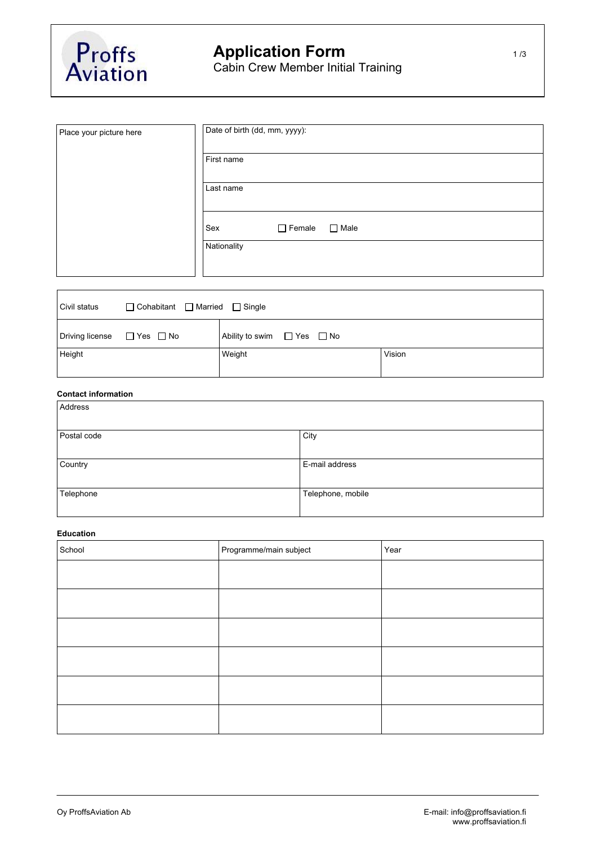

| Place your picture here | Date of birth (dd, mm, yyyy):       |
|-------------------------|-------------------------------------|
|                         | First name                          |
|                         | Last name                           |
|                         | $\Box$ Female<br>$\Box$ Male<br>Sex |
|                         | Nationality                         |
|                         |                                     |

| $\Box$ Cohabitant $\Box$ Married $\Box$ Single<br>Civil status |  |                                      |        |
|----------------------------------------------------------------|--|--------------------------------------|--------|
| $\Box$ Driving license $\Box$ Yes $\Box$ No                    |  | Ability to swim $\Box$ Yes $\Box$ No |        |
| Height                                                         |  | Weight                               | Vision |

## **Contact information**

| Address     |                   |
|-------------|-------------------|
| Postal code | City              |
| Country     | E-mail address    |
| Telephone   | Telephone, mobile |

# **Education**

| School | Programme/main subject | Year |
|--------|------------------------|------|
|        |                        |      |
|        |                        |      |
|        |                        |      |
|        |                        |      |
|        |                        |      |
|        |                        |      |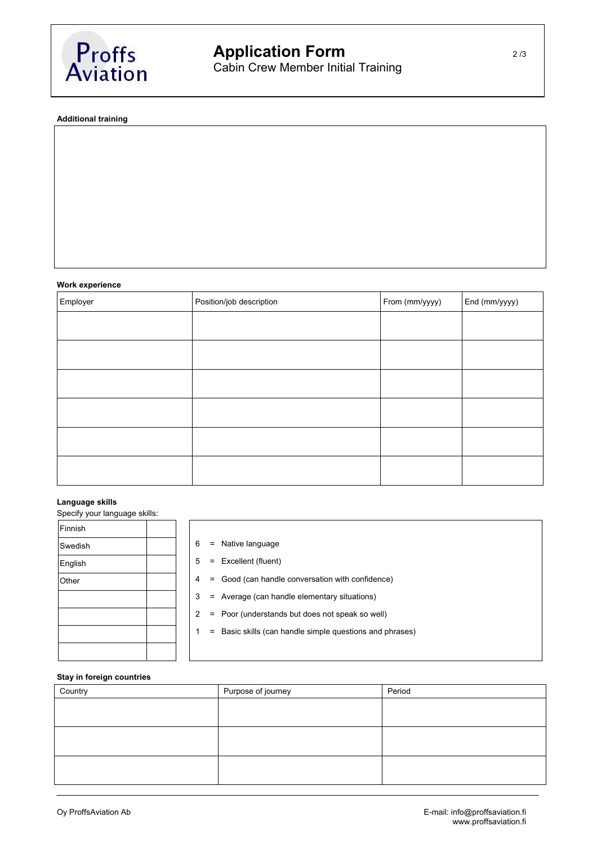

**Additional training**

## **Work experience**

| Employer | Position/job description | From (mm/yyyy) | End (mm/yyyy) |
|----------|--------------------------|----------------|---------------|
|          |                          |                |               |
|          |                          |                |               |
|          |                          |                |               |
|          |                          |                |               |
|          |                          |                |               |
|          |                          |                |               |

## **Language skills**

Specify your language skills:

| Finnish |  |
|---------|--|
| Swedish |  |
| English |  |
| Other   |  |
|         |  |
|         |  |
|         |  |
|         |  |

- $6 =$  Native language
- $5 =$  Excellent (fluent)
- $4 = Good (can handle conversion with confidence)$
- 3 = Average (can handle elementary situations)
- 2 = Poor (understands but does not speak so well)
- 1 = Basic skills (can handle simple questions and phrases)

#### **Stay in foreign countries**

| Country | Purpose of journey | Period |
|---------|--------------------|--------|
|         |                    |        |
|         |                    |        |
|         |                    |        |
|         |                    |        |
|         |                    |        |
|         |                    |        |